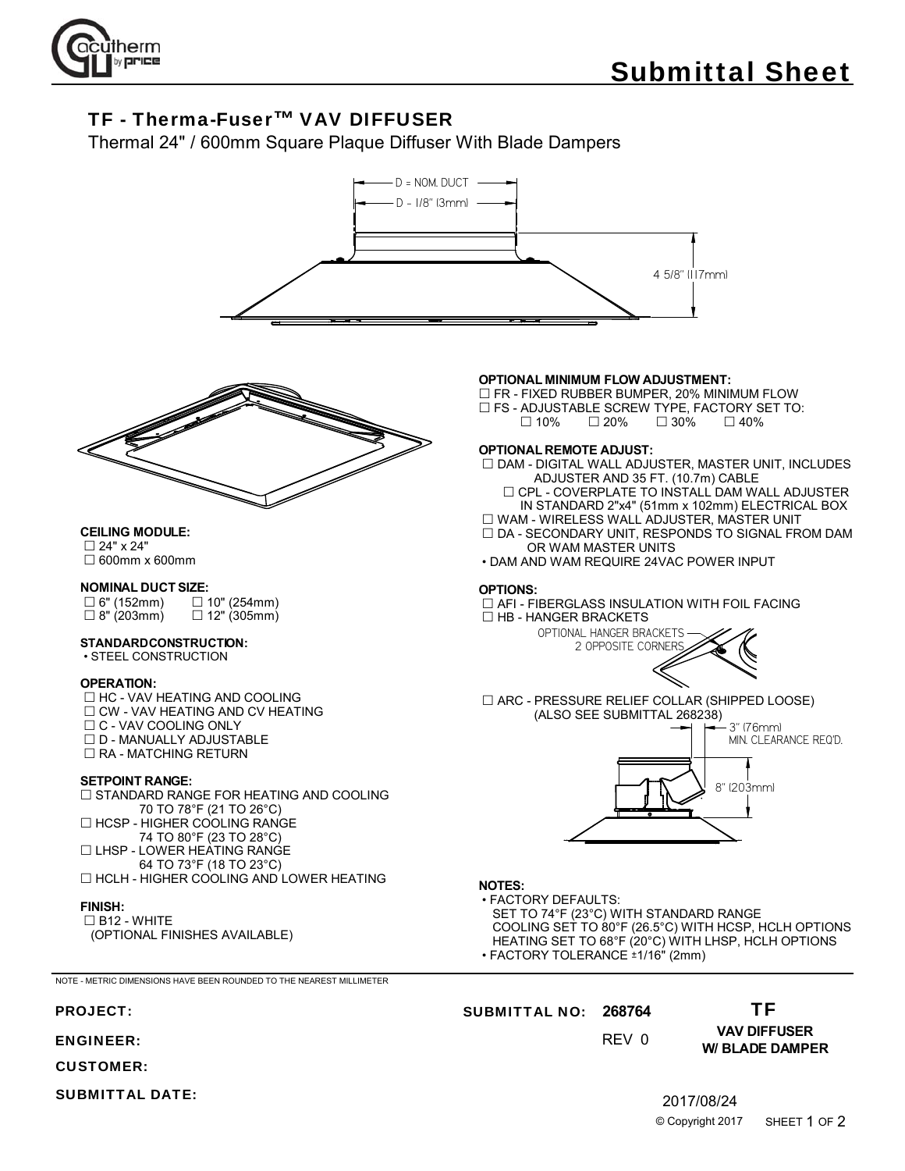

# TF - Therma-Fuser™ VAV DIFFUSER

Thermal 24" / 600mm Square Plaque Diffuser With Blade Dampers





#### **CEILING MODULE:**

 24" x 24" 600mm x 600mm

# **NOMINAL DUCT SIZE:**<br>□ 6" (152mm) □

 $\square$  6" (152mm)  $\square$  10" (254mm)<br> $\square$  8" (203mm)  $\square$  12" (305mm)  $\Box$  12" (305mm)

#### **STANDARD CONSTRUCTION:**

• STEEL CONSTRUCTION

#### **OPERATION:**

□ HC - VAV HEATING AND COOLING  $\Box$  CW - VAV HEATING AND CV HEATING  $\Box$  C - VAV COOLING ONLY  $\square$  D - MANUALLY ADJUSTABLE  $\Box$  RA - MATCHING RETURN

#### **SETPOINT RANGE:**

□ STANDARD RANGE FOR HEATING AND COOLING 70 TO 78°F (21 TO 26°C) □ HCSP - HIGHER COOLING RANGE 74 TO 80°F (23 TO 28°C) □ LHSP - LOWER HEATING RANGE 64 TO 73°F (18 TO 23°C) □ HCLH - HIGHER COOLING AND LOWER HEATING

#### **FINISH:**

 $\Box$  B12 - WHITE (OPTIONAL FINISHES AVAILABLE)

NOTE - METRIC DIMENSIONS HAVE BEEN ROUNDED TO THE NEAREST MILLIMETER

- ENGINEER:
- CUSTOMER:
- SUBMITTAL DATE:

#### **OPTIONAL MINIMUM FLOW ADJUSTMENT:**

□ FR - FIXED RUBBER BUMPER, 20% MINIMUM FLOW  $\square$  FS - ADJUSTABLE SCREW TYPE, FACTORY SET TO:<br> $\square$  10%  $\square$  20%  $\square$  30%  $\square$  40%  $\Box$  30%

#### **OPTIONAL REMOTE ADJUST:**

 $\Box$  DAM - DIGITAL WALL ADJUSTER, MASTER UNIT, INCLUDES ADJUSTER AND 35 FT. (10.7m) CABLE

 $\Box$  CPL - COVERPLATE TO INSTALL DAM WALL ADJUSTER IN STANDARD 2"x4" (51mm x 102mm) ELECTRICAL BOX

WAM - WIRELESS WALL ADJUSTER, MASTER UNIT

- $\square$  DA SECONDARY UNIT, RESPONDS TO SIGNAL FROM DAM OR WAM MASTER UNITS
- DAM AND WAM REQUIRE 24VAC POWER INPUT

#### **OPTIONS:**

 AFI - FIBERGLASS INSULATION WITH FOIL FACING  $\Box$  HB - HANGER BRACKETS



 ARC - PRESSURE RELIEF COLLAR (SHIPPED LOOSE) (ALSO SEE SUBMITTAL 268238)



### **NOTES:**

 • FACTORY DEFAULTS: SET TO 74°F (23°C) WITH STANDARD RANGE COOLING SET TO 80°F (26.5°C) WITH HCSP, HCLH OPTIONS HEATING SET TO 68°F (20°C) WITH LHSP, HCLH OPTIONS • FACTORY TOLERANCE ±1/16" (2mm)

#### PROJECT: **268764** SUBMITTAL NO:

#### TF

0 REV

## **VAV DIFFUSER W/ BLADE DAMPER**